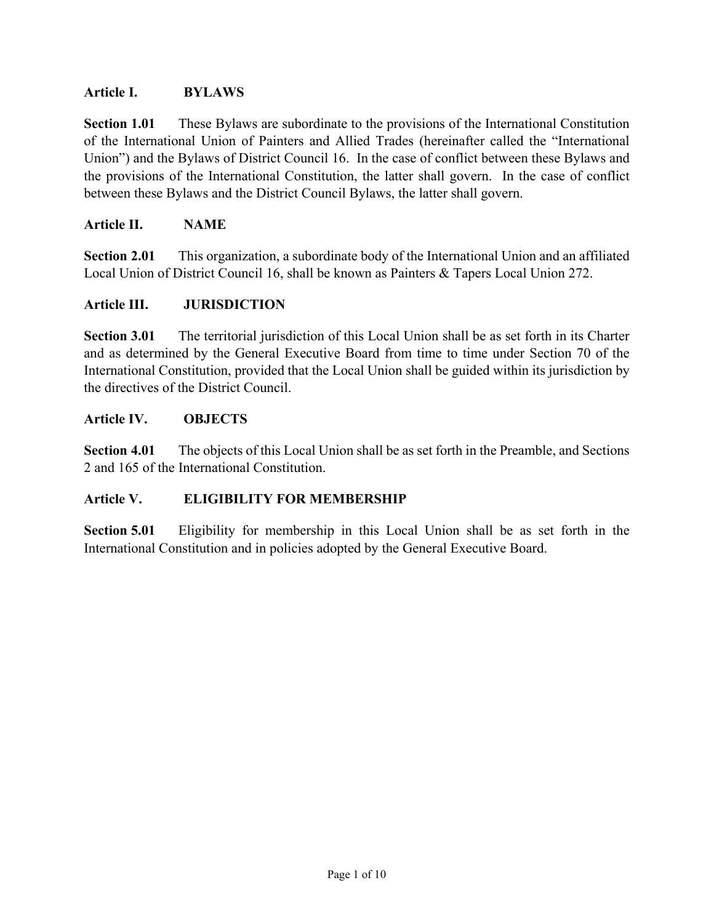## **Article I. BYLAWS**

**Section 1.01** These Bylaws are subordinate to the provisions of the International Constitution of the International Union of Painters and Allied Trades (hereinafter called the "International Union") and the Bylaws of District Council 16. In the case of conflict between these Bylaws and the provisions of the International Constitution, the latter shall govern. In the case of conflict between these Bylaws and the District Council Bylaws, the latter shall govern.

## **Article II. NAME**

**Section 2.01** This organization, a subordinate body of the International Union and an affiliated Local Union of District Council 16, shall be known as Painters & Tapers Local Union 272.

## **Article III. JURISDICTION**

**Section 3.01** The territorial jurisdiction of this Local Union shall be as set forth in its Charter and as determined by the General Executive Board from time to time under Section 70 of the International Constitution, provided that the Local Union shall be guided within its jurisdiction by the directives of the District Council.

## **Article IV. OBJECTS**

**Section 4.01** The objects of this Local Union shall be as set forth in the Preamble, and Sections 2 and 165 of the International Constitution.

## **Article V. ELIGIBILITY FOR MEMBERSHIP**

**Section 5.01** Eligibility for membership in this Local Union shall be as set forth in the International Constitution and in policies adopted by the General Executive Board.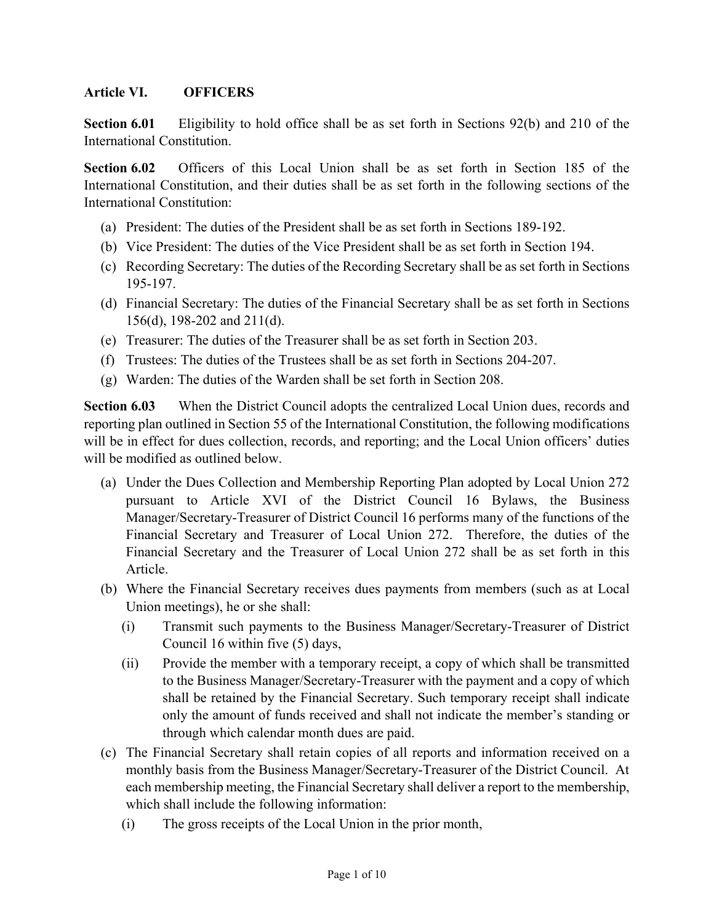## **Article VI. OFFICERS**

**Section 6.01** Eligibility to hold office shall be as set forth in Sections 92(b) and 210 of the International Constitution.

**Section 6.02** Officers of this Local Union shall be as set forth in Section 185 of the International Constitution, and their duties shall be as set forth in the following sections of the International Constitution:

- (a) President: The duties of the President shall be as set forth in Sections 189-192.
- (b) Vice President: The duties of the Vice President shall be as set forth in Section 194.
- (c) Recording Secretary: The duties of the Recording Secretary shall be as set forth in Sections 195-197.
- (d) Financial Secretary: The duties of the Financial Secretary shall be as set forth in Sections 156(d), 198-202 and 211(d).
- (e) Treasurer: The duties of the Treasurer shall be as set forth in Section 203.
- (f) Trustees: The duties of the Trustees shall be as set forth in Sections 204-207.
- (g) Warden: The duties of the Warden shall be set forth in Section 208.

**Section 6.03** When the District Council adopts the centralized Local Union dues, records and reporting plan outlined in Section 55 of the International Constitution, the following modifications will be in effect for dues collection, records, and reporting; and the Local Union officers' duties will be modified as outlined below.

- (a) Under the Dues Collection and Membership Reporting Plan adopted by Local Union 272 pursuant to Article XVI of the District Council 16 Bylaws, the Business Manager/Secretary-Treasurer of District Council 16 performs many of the functions of the Financial Secretary and Treasurer of Local Union 272. Therefore, the duties of the Financial Secretary and the Treasurer of Local Union 272 shall be as set forth in this Article.
- (b) Where the Financial Secretary receives dues payments from members (such as at Local Union meetings), he or she shall:
	- (i) Transmit such payments to the Business Manager/Secretary-Treasurer of District Council 16 within five (5) days,
	- (ii) Provide the member with a temporary receipt, a copy of which shall be transmitted to the Business Manager/Secretary-Treasurer with the payment and a copy of which shall be retained by the Financial Secretary. Such temporary receipt shall indicate only the amount of funds received and shall not indicate the member's standing or through which calendar month dues are paid.
- (c) The Financial Secretary shall retain copies of all reports and information received on a monthly basis from the Business Manager/Secretary-Treasurer of the District Council. At each membership meeting, the Financial Secretary shall deliver a report to the membership, which shall include the following information:
	- (i) The gross receipts of the Local Union in the prior month,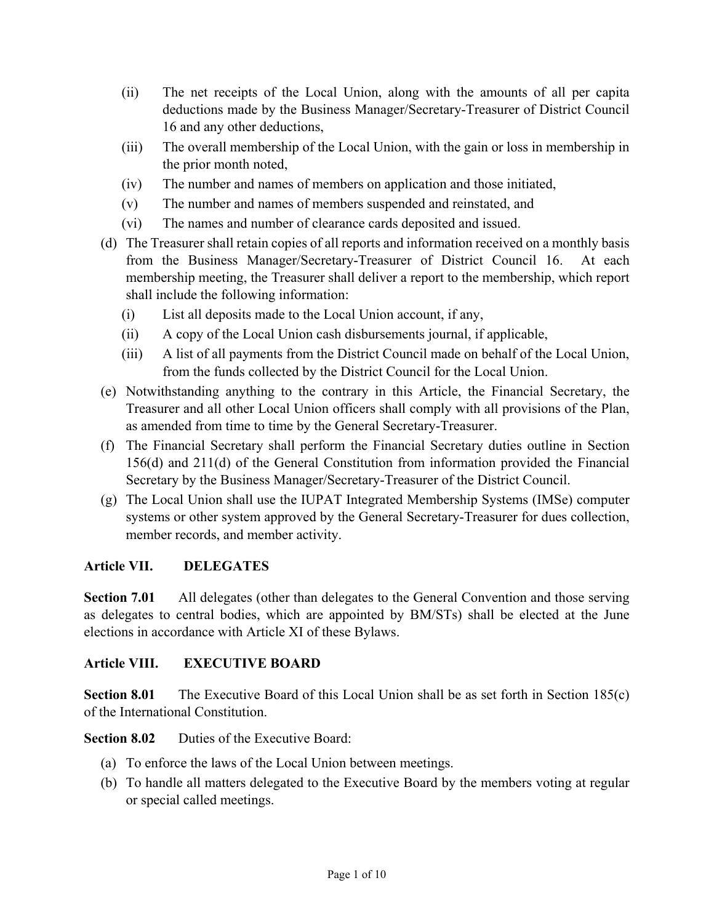- (ii) The net receipts of the Local Union, along with the amounts of all per capita deductions made by the Business Manager/Secretary-Treasurer of District Council 16 and any other deductions,
- (iii) The overall membership of the Local Union, with the gain or loss in membership in the prior month noted,
- (iv) The number and names of members on application and those initiated,
- (v) The number and names of members suspended and reinstated, and
- (vi) The names and number of clearance cards deposited and issued.
- (d) The Treasurer shall retain copies of all reports and information received on a monthly basis from the Business Manager/Secretary-Treasurer of District Council 16. At each membership meeting, the Treasurer shall deliver a report to the membership, which report shall include the following information:
	- (i) List all deposits made to the Local Union account, if any,
	- (ii) A copy of the Local Union cash disbursements journal, if applicable,
	- (iii) A list of all payments from the District Council made on behalf of the Local Union, from the funds collected by the District Council for the Local Union.
- (e) Notwithstanding anything to the contrary in this Article, the Financial Secretary, the Treasurer and all other Local Union officers shall comply with all provisions of the Plan, as amended from time to time by the General Secretary-Treasurer.
- (f) The Financial Secretary shall perform the Financial Secretary duties outline in Section 156(d) and 211(d) of the General Constitution from information provided the Financial Secretary by the Business Manager/Secretary-Treasurer of the District Council.
- (g) The Local Union shall use the IUPAT Integrated Membership Systems (IMSe) computer systems or other system approved by the General Secretary-Treasurer for dues collection, member records, and member activity.

## **Article VII. DELEGATES**

**Section 7.01** All delegates (other than delegates to the General Convention and those serving as delegates to central bodies, which are appointed by BM/STs) shall be elected at the June elections in accordance with Article XI of these Bylaws.

## **Article VIII. EXECUTIVE BOARD**

**Section 8.01** The Executive Board of this Local Union shall be as set forth in Section 185(c) of the International Constitution.

## **Section 8.02** Duties of the Executive Board:

- (a) To enforce the laws of the Local Union between meetings.
- (b) To handle all matters delegated to the Executive Board by the members voting at regular or special called meetings.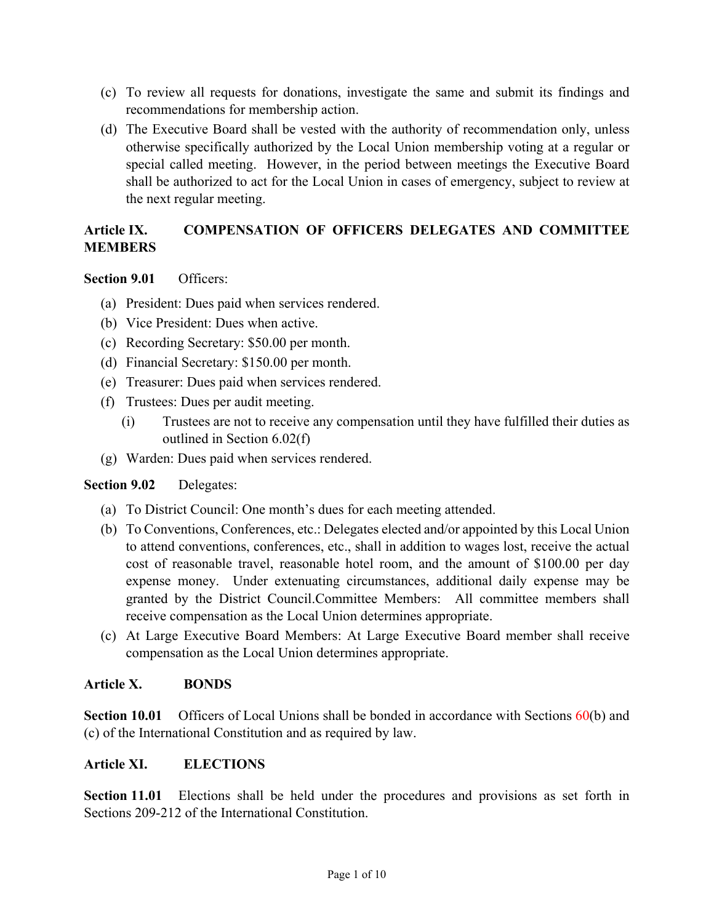- (c) To review all requests for donations, investigate the same and submit its findings and recommendations for membership action.
- (d) The Executive Board shall be vested with the authority of recommendation only, unless otherwise specifically authorized by the Local Union membership voting at a regular or special called meeting. However, in the period between meetings the Executive Board shall be authorized to act for the Local Union in cases of emergency, subject to review at the next regular meeting.

# **Article IX. COMPENSATION OF OFFICERS DELEGATES AND COMMITTEE MEMBERS**

## **Section 9.01** Officers:

- (a) President: Dues paid when services rendered.
- (b) Vice President: Dues when active.
- (c) Recording Secretary: \$50.00 per month.
- (d) Financial Secretary: \$150.00 per month.
- (e) Treasurer: Dues paid when services rendered.
- (f) Trustees: Dues per audit meeting.
	- (i) Trustees are not to receive any compensation until they have fulfilled their duties as outlined in Section 6.02(f)
- (g) Warden: Dues paid when services rendered.

# **Section 9.02** Delegates:

- (a) To District Council: One month's dues for each meeting attended.
- (b) To Conventions, Conferences, etc.: Delegates elected and/or appointed by this Local Union to attend conventions, conferences, etc., shall in addition to wages lost, receive the actual cost of reasonable travel, reasonable hotel room, and the amount of \$100.00 per day expense money. Under extenuating circumstances, additional daily expense may be granted by the District Council.Committee Members: All committee members shall receive compensation as the Local Union determines appropriate.
- (c) At Large Executive Board Members: At Large Executive Board member shall receive compensation as the Local Union determines appropriate.

## **Article X. BONDS**

**Section 10.01** Officers of Local Unions shall be bonded in accordance with Sections 60(b) and (c) of the International Constitution and as required by law.

## **Article XI. ELECTIONS**

**Section 11.01** Elections shall be held under the procedures and provisions as set forth in Sections 209-212 of the International Constitution.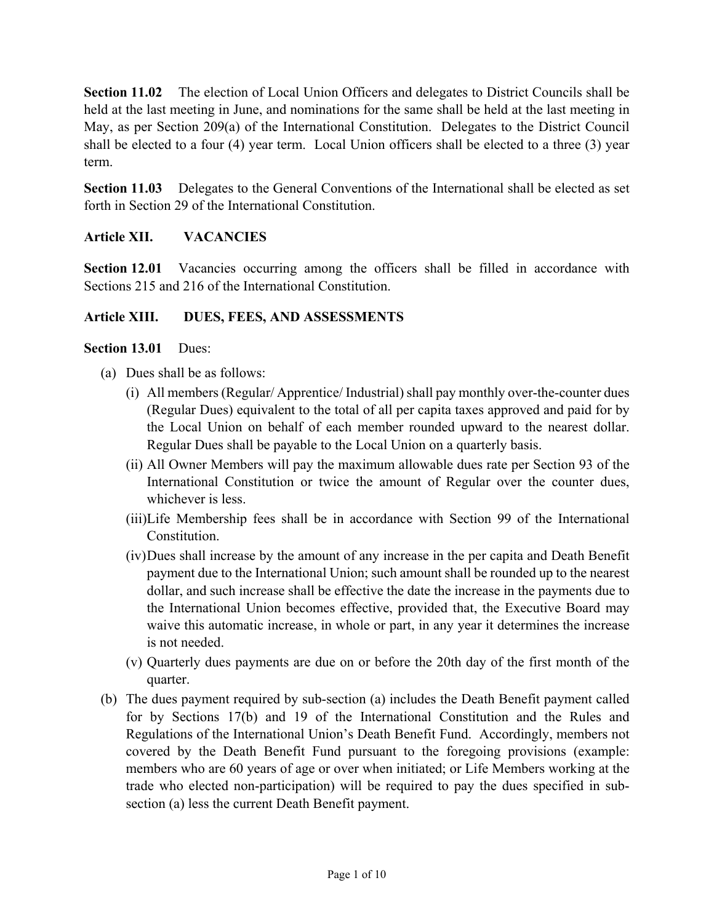**Section 11.02** The election of Local Union Officers and delegates to District Councils shall be held at the last meeting in June, and nominations for the same shall be held at the last meeting in May, as per Section 209(a) of the International Constitution. Delegates to the District Council shall be elected to a four (4) year term. Local Union officers shall be elected to a three (3) year term.

**Section 11.03** Delegates to the General Conventions of the International shall be elected as set forth in Section 29 of the International Constitution.

## **Article XII. VACANCIES**

**Section 12.01** Vacancies occurring among the officers shall be filled in accordance with Sections 215 and 216 of the International Constitution.

## **Article XIII. DUES, FEES, AND ASSESSMENTS**

#### **Section 13.01** Dues:

- (a) Dues shall be as follows:
	- (i) All members (Regular/ Apprentice/ Industrial) shall pay monthly over-the-counter dues (Regular Dues) equivalent to the total of all per capita taxes approved and paid for by the Local Union on behalf of each member rounded upward to the nearest dollar. Regular Dues shall be payable to the Local Union on a quarterly basis.
	- (ii) All Owner Members will pay the maximum allowable dues rate per Section 93 of the International Constitution or twice the amount of Regular over the counter dues, whichever is less.
	- (iii)Life Membership fees shall be in accordance with Section 99 of the International Constitution.
	- (iv)Dues shall increase by the amount of any increase in the per capita and Death Benefit payment due to the International Union; such amount shall be rounded up to the nearest dollar, and such increase shall be effective the date the increase in the payments due to the International Union becomes effective, provided that, the Executive Board may waive this automatic increase, in whole or part, in any year it determines the increase is not needed.
	- (v) Quarterly dues payments are due on or before the 20th day of the first month of the quarter.
- (b) The dues payment required by sub-section (a) includes the Death Benefit payment called for by Sections 17(b) and 19 of the International Constitution and the Rules and Regulations of the International Union's Death Benefit Fund. Accordingly, members not covered by the Death Benefit Fund pursuant to the foregoing provisions (example: members who are 60 years of age or over when initiated; or Life Members working at the trade who elected non-participation) will be required to pay the dues specified in subsection (a) less the current Death Benefit payment.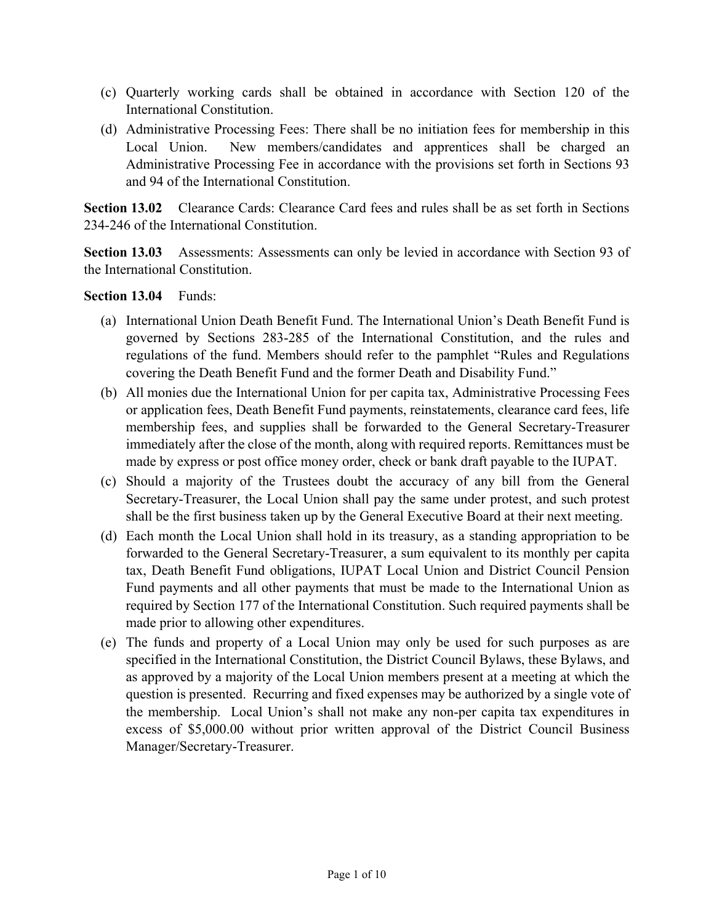- (c) Quarterly working cards shall be obtained in accordance with Section 120 of the International Constitution.
- (d) Administrative Processing Fees: There shall be no initiation fees for membership in this Local Union. New members/candidates and apprentices shall be charged an Administrative Processing Fee in accordance with the provisions set forth in Sections 93 and 94 of the International Constitution.

**Section 13.02** Clearance Cards: Clearance Card fees and rules shall be as set forth in Sections 234-246 of the International Constitution.

**Section 13.03** Assessments: Assessments can only be levied in accordance with Section 93 of the International Constitution.

#### **Section 13.04** Funds:

- (a) International Union Death Benefit Fund. The International Union's Death Benefit Fund is governed by Sections 283-285 of the International Constitution, and the rules and regulations of the fund. Members should refer to the pamphlet "Rules and Regulations covering the Death Benefit Fund and the former Death and Disability Fund."
- (b) All monies due the International Union for per capita tax, Administrative Processing Fees or application fees, Death Benefit Fund payments, reinstatements, clearance card fees, life membership fees, and supplies shall be forwarded to the General Secretary-Treasurer immediately after the close of the month, along with required reports. Remittances must be made by express or post office money order, check or bank draft payable to the IUPAT.
- (c) Should a majority of the Trustees doubt the accuracy of any bill from the General Secretary-Treasurer, the Local Union shall pay the same under protest, and such protest shall be the first business taken up by the General Executive Board at their next meeting.
- (d) Each month the Local Union shall hold in its treasury, as a standing appropriation to be forwarded to the General Secretary-Treasurer, a sum equivalent to its monthly per capita tax, Death Benefit Fund obligations, IUPAT Local Union and District Council Pension Fund payments and all other payments that must be made to the International Union as required by Section 177 of the International Constitution. Such required payments shall be made prior to allowing other expenditures.
- (e) The funds and property of a Local Union may only be used for such purposes as are specified in the International Constitution, the District Council Bylaws, these Bylaws, and as approved by a majority of the Local Union members present at a meeting at which the question is presented. Recurring and fixed expenses may be authorized by a single vote of the membership. Local Union's shall not make any non-per capita tax expenditures in excess of \$5,000.00 without prior written approval of the District Council Business Manager/Secretary-Treasurer.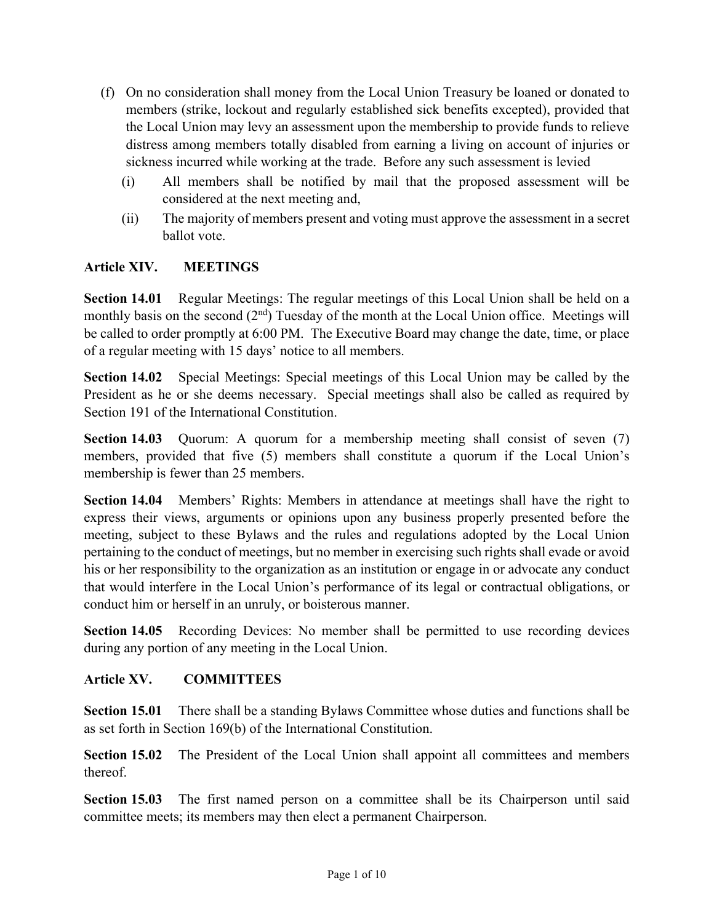- (f) On no consideration shall money from the Local Union Treasury be loaned or donated to members (strike, lockout and regularly established sick benefits excepted), provided that the Local Union may levy an assessment upon the membership to provide funds to relieve distress among members totally disabled from earning a living on account of injuries or sickness incurred while working at the trade. Before any such assessment is levied
	- (i) All members shall be notified by mail that the proposed assessment will be considered at the next meeting and,
	- (ii) The majority of members present and voting must approve the assessment in a secret ballot vote.

## **Article XIV. MEETINGS**

**Section 14.01** Regular Meetings: The regular meetings of this Local Union shall be held on a monthly basis on the second  $(2<sup>nd</sup>)$  Tuesday of the month at the Local Union office. Meetings will be called to order promptly at 6:00 PM. The Executive Board may change the date, time, or place of a regular meeting with 15 days' notice to all members.

**Section 14.02** Special Meetings: Special meetings of this Local Union may be called by the President as he or she deems necessary. Special meetings shall also be called as required by Section 191 of the International Constitution.

**Section 14.03** Quorum: A quorum for a membership meeting shall consist of seven (7) members, provided that five (5) members shall constitute a quorum if the Local Union's membership is fewer than 25 members.

**Section 14.04** Members' Rights: Members in attendance at meetings shall have the right to express their views, arguments or opinions upon any business properly presented before the meeting, subject to these Bylaws and the rules and regulations adopted by the Local Union pertaining to the conduct of meetings, but no member in exercising such rights shall evade or avoid his or her responsibility to the organization as an institution or engage in or advocate any conduct that would interfere in the Local Union's performance of its legal or contractual obligations, or conduct him or herself in an unruly, or boisterous manner.

**Section 14.05** Recording Devices: No member shall be permitted to use recording devices during any portion of any meeting in the Local Union.

## **Article XV. COMMITTEES**

**Section 15.01** There shall be a standing Bylaws Committee whose duties and functions shall be as set forth in Section 169(b) of the International Constitution.

**Section 15.02** The President of the Local Union shall appoint all committees and members thereof.

Section 15.03 The first named person on a committee shall be its Chairperson until said committee meets; its members may then elect a permanent Chairperson.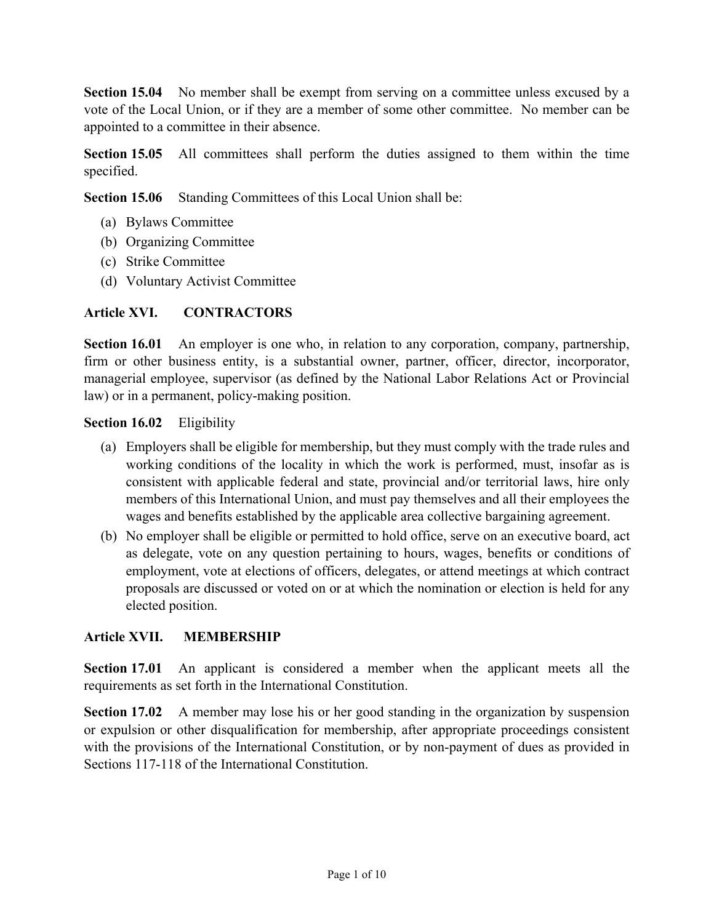**Section 15.04** No member shall be exempt from serving on a committee unless excused by a vote of the Local Union, or if they are a member of some other committee. No member can be appointed to a committee in their absence.

**Section 15.05** All committees shall perform the duties assigned to them within the time specified.

**Section 15.06** Standing Committees of this Local Union shall be:

- (a) Bylaws Committee
- (b) Organizing Committee
- (c) Strike Committee
- (d) Voluntary Activist Committee

## **Article XVI. CONTRACTORS**

**Section 16.01** An employer is one who, in relation to any corporation, company, partnership, firm or other business entity, is a substantial owner, partner, officer, director, incorporator, managerial employee, supervisor (as defined by the National Labor Relations Act or Provincial law) or in a permanent, policy-making position.

## **Section 16.02** Eligibility

- (a) Employers shall be eligible for membership, but they must comply with the trade rules and working conditions of the locality in which the work is performed, must, insofar as is consistent with applicable federal and state, provincial and/or territorial laws, hire only members of this International Union, and must pay themselves and all their employees the wages and benefits established by the applicable area collective bargaining agreement.
- (b) No employer shall be eligible or permitted to hold office, serve on an executive board, act as delegate, vote on any question pertaining to hours, wages, benefits or conditions of employment, vote at elections of officers, delegates, or attend meetings at which contract proposals are discussed or voted on or at which the nomination or election is held for any elected position.

# **Article XVII. MEMBERSHIP**

**Section 17.01** An applicant is considered a member when the applicant meets all the requirements as set forth in the International Constitution.

**Section 17.02** A member may lose his or her good standing in the organization by suspension or expulsion or other disqualification for membership, after appropriate proceedings consistent with the provisions of the International Constitution, or by non-payment of dues as provided in Sections 117-118 of the International Constitution.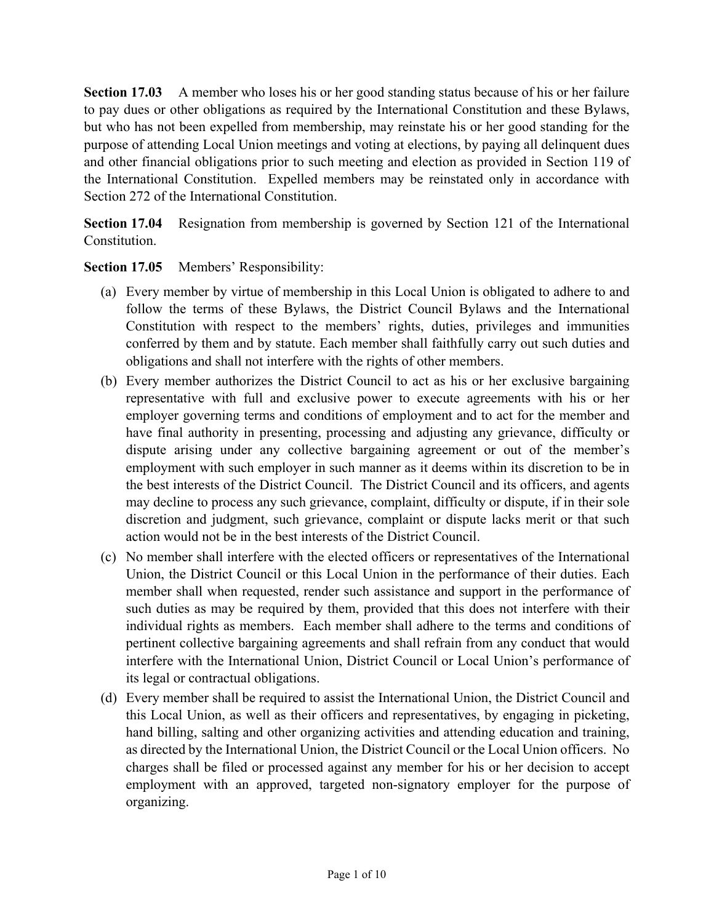**Section 17.03** A member who loses his or her good standing status because of his or her failure to pay dues or other obligations as required by the International Constitution and these Bylaws, but who has not been expelled from membership, may reinstate his or her good standing for the purpose of attending Local Union meetings and voting at elections, by paying all delinquent dues and other financial obligations prior to such meeting and election as provided in Section 119 of the International Constitution. Expelled members may be reinstated only in accordance with Section 272 of the International Constitution.

**Section 17.04** Resignation from membership is governed by Section 121 of the International Constitution.

## **Section 17.05** Members' Responsibility:

- (a) Every member by virtue of membership in this Local Union is obligated to adhere to and follow the terms of these Bylaws, the District Council Bylaws and the International Constitution with respect to the members' rights, duties, privileges and immunities conferred by them and by statute. Each member shall faithfully carry out such duties and obligations and shall not interfere with the rights of other members.
- (b) Every member authorizes the District Council to act as his or her exclusive bargaining representative with full and exclusive power to execute agreements with his or her employer governing terms and conditions of employment and to act for the member and have final authority in presenting, processing and adjusting any grievance, difficulty or dispute arising under any collective bargaining agreement or out of the member's employment with such employer in such manner as it deems within its discretion to be in the best interests of the District Council. The District Council and its officers, and agents may decline to process any such grievance, complaint, difficulty or dispute, if in their sole discretion and judgment, such grievance, complaint or dispute lacks merit or that such action would not be in the best interests of the District Council.
- (c) No member shall interfere with the elected officers or representatives of the International Union, the District Council or this Local Union in the performance of their duties. Each member shall when requested, render such assistance and support in the performance of such duties as may be required by them, provided that this does not interfere with their individual rights as members. Each member shall adhere to the terms and conditions of pertinent collective bargaining agreements and shall refrain from any conduct that would interfere with the International Union, District Council or Local Union's performance of its legal or contractual obligations.
- (d) Every member shall be required to assist the International Union, the District Council and this Local Union, as well as their officers and representatives, by engaging in picketing, hand billing, salting and other organizing activities and attending education and training, as directed by the International Union, the District Council or the Local Union officers. No charges shall be filed or processed against any member for his or her decision to accept employment with an approved, targeted non-signatory employer for the purpose of organizing.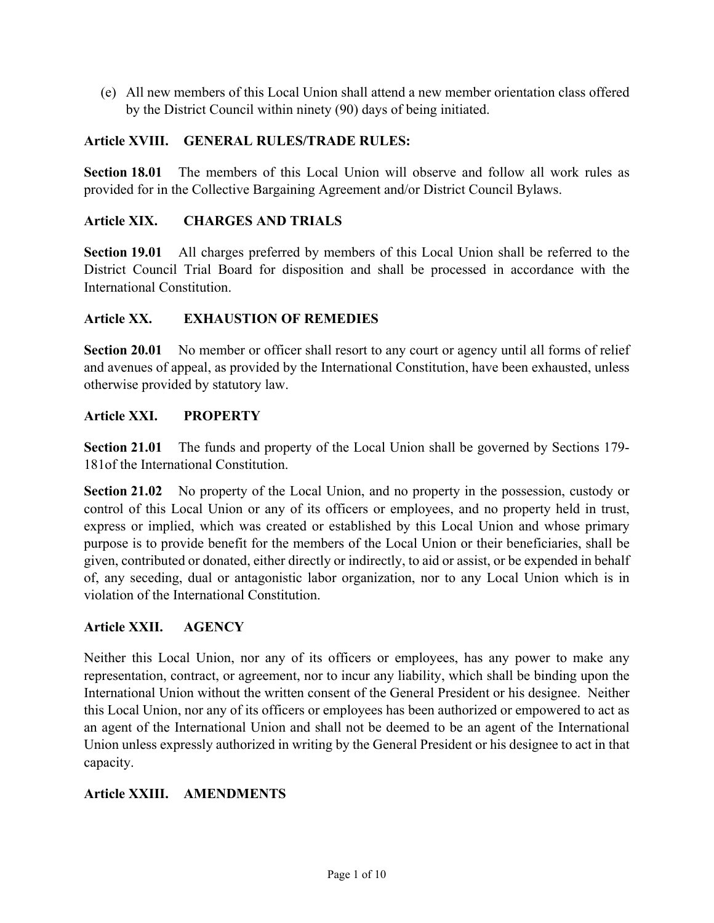(e) All new members of this Local Union shall attend a new member orientation class offered by the District Council within ninety (90) days of being initiated.

## **Article XVIII. GENERAL RULES/TRADE RULES:**

**Section 18.01** The members of this Local Union will observe and follow all work rules as provided for in the Collective Bargaining Agreement and/or District Council Bylaws.

## **Article XIX. CHARGES AND TRIALS**

**Section 19.01** All charges preferred by members of this Local Union shall be referred to the District Council Trial Board for disposition and shall be processed in accordance with the International Constitution.

## **Article XX. EXHAUSTION OF REMEDIES**

**Section 20.01** No member or officer shall resort to any court or agency until all forms of relief and avenues of appeal, as provided by the International Constitution, have been exhausted, unless otherwise provided by statutory law.

## **Article XXI. PROPERTY**

**Section 21.01** The funds and property of the Local Union shall be governed by Sections 179- 181of the International Constitution.

**Section 21.02** No property of the Local Union, and no property in the possession, custody or control of this Local Union or any of its officers or employees, and no property held in trust, express or implied, which was created or established by this Local Union and whose primary purpose is to provide benefit for the members of the Local Union or their beneficiaries, shall be given, contributed or donated, either directly or indirectly, to aid or assist, or be expended in behalf of, any seceding, dual or antagonistic labor organization, nor to any Local Union which is in violation of the International Constitution.

## **Article XXII. AGENCY**

Neither this Local Union, nor any of its officers or employees, has any power to make any representation, contract, or agreement, nor to incur any liability, which shall be binding upon the International Union without the written consent of the General President or his designee. Neither this Local Union, nor any of its officers or employees has been authorized or empowered to act as an agent of the International Union and shall not be deemed to be an agent of the International Union unless expressly authorized in writing by the General President or his designee to act in that capacity.

## **Article XXIII. AMENDMENTS**